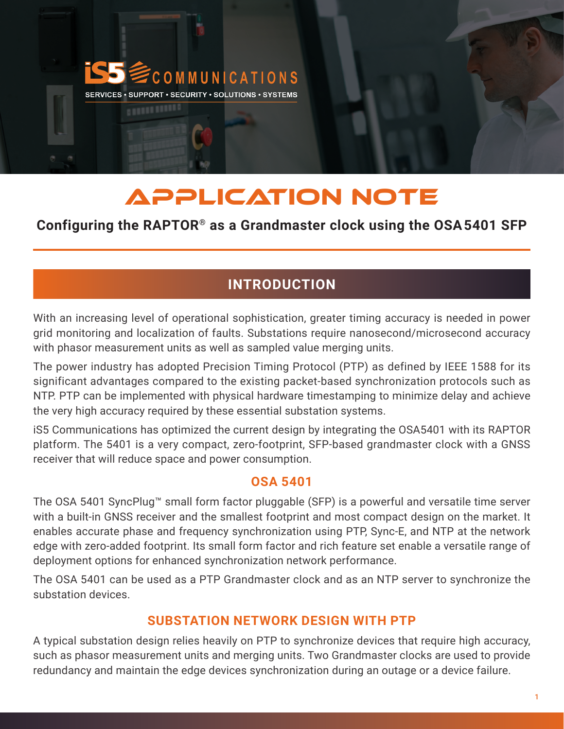

# APPLICATION NOTE

# **Configuring the RAPTOR® as a Grandmaster clock using the OSA5401 SFP**

# **INTRODUCTION**

With an increasing level of operational sophistication, greater timing accuracy is needed in power grid monitoring and localization of faults. Substations require nanosecond/microsecond accuracy with phasor measurement units as well as sampled value merging units.

The power industry has adopted Precision Timing Protocol (PTP) as defined by IEEE 1588 for its significant advantages compared to the existing packet-based synchronization protocols such as NTP. PTP can be implemented with physical hardware timestamping to minimize delay and achieve the very high accuracy required by these essential substation systems.

iS5 Communications has optimized the current design by integrating the OSA5401 with its RAPTOR platform. The 5401 is a very compact, zero-footprint, SFP-based grandmaster clock with a GNSS receiver that will reduce space and power consumption.

### **OSA 5401**

The OSA 5401 SyncPlug™ small form factor pluggable (SFP) is a powerful and versatile time server with a built-in GNSS receiver and the smallest footprint and most compact design on the market. It enables accurate phase and frequency synchronization using PTP, Sync-E, and NTP at the network edge with zero-added footprint. Its small form factor and rich feature set enable a versatile range of deployment options for enhanced synchronization network performance.

The OSA 5401 can be used as a PTP Grandmaster clock and as an NTP server to synchronize the substation devices.

# **SUBSTATION NETWORK DESIGN WITH PTP**

A typical substation design relies heavily on PTP to synchronize devices that require high accuracy, such as phasor measurement units and merging units. Two Grandmaster clocks are used to provide redundancy and maintain the edge devices synchronization during an outage or a device failure.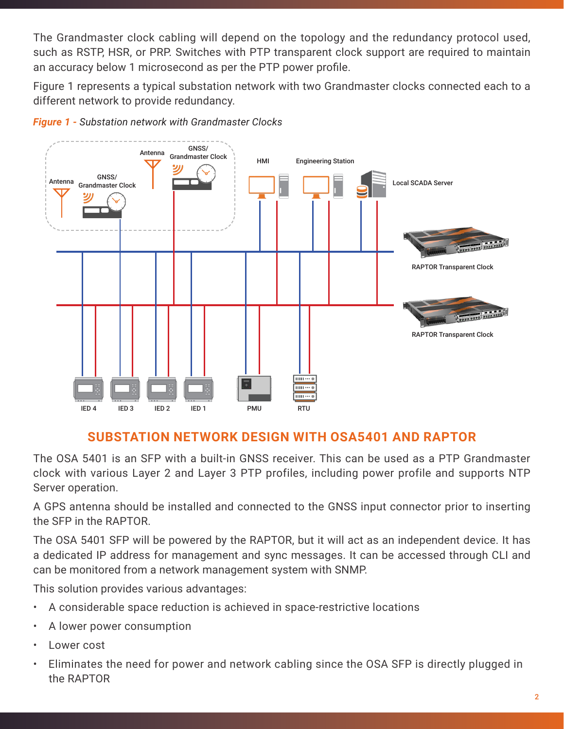The Grandmaster clock cabling will depend on the topology and the redundancy protocol used, such as RSTP, HSR, or PRP. Switches with PTP transparent clock support are required to maintain an accuracy below 1 microsecond as per the PTP power profile.

Figure 1 represents a typical substation network with two Grandmaster clocks connected each to a different network to provide redundancy.



*Figure 1 - Substation network with Grandmaster Clocks*

#### **SUBSTATION NETWORK DESIGN WITH OSA5401 AND RAPTOR**

The OSA 5401 is an SFP with a built-in GNSS receiver. This can be used as a PTP Grandmaster clock with various Layer 2 and Layer 3 PTP profiles, including power profile and supports NTP Server operation.

A GPS antenna should be installed and connected to the GNSS input connector prior to inserting the SFP in the RAPTOR.

The OSA 5401 SFP will be powered by the RAPTOR, but it will act as an independent device. It has a dedicated IP address for management and sync messages. It can be accessed through CLI and can be monitored from a network management system with SNMP.

This solution provides various advantages:

- A considerable space reduction is achieved in space-restrictive locations
- A lower power consumption
- Lower cost
- Eliminates the need for power and network cabling since the OSA SFP is directly plugged in the RAPTOR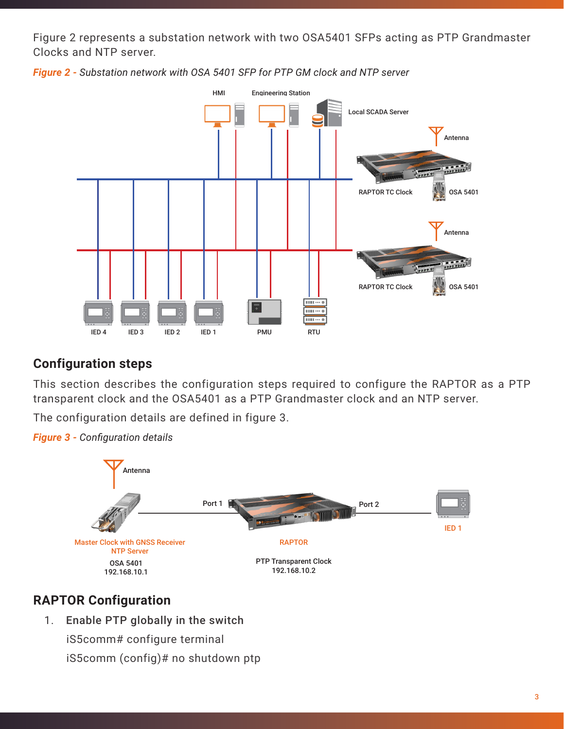Figure 2 represents a substation network with two OSA5401 SFPs acting as PTP Grandmaster Clocks and NTP server.



*Figure 2 - Substation network with OSA 5401 SFP for PTP GM clock and NTP server*

#### **Configuration steps**

This section describes the configuration steps required to configure the RAPTOR as a PTP transparent clock and the OSA5401 as a PTP Grandmaster clock and an NTP server.

The configuration details are defined in figure 3.





# **RAPTOR Configuration**

1. Enable PTP globally in the switch

iS5comm# configure terminal iS5comm (config)# no shutdown ptp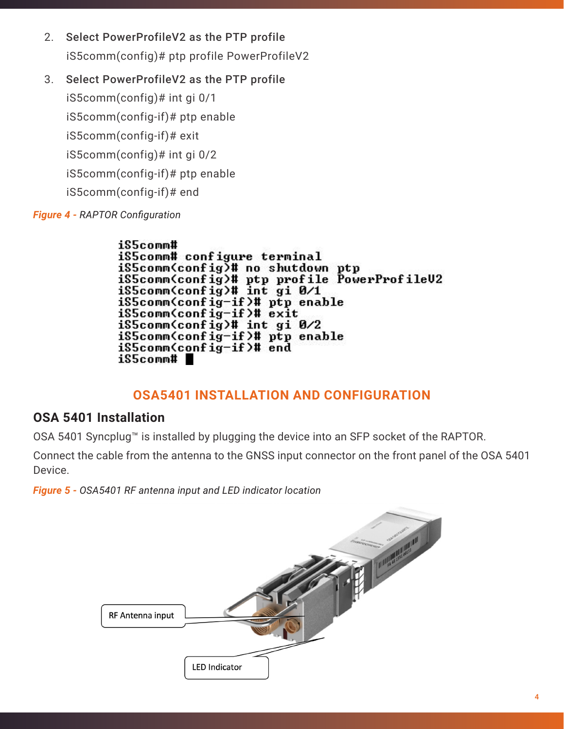- 2. Select PowerProfileV2 as the PTP profile iS5comm(config)# ptp profile PowerProfileV2
- 3. Select PowerProfileV2 as the PTP profile

iS5comm(config)# int gi 0/1 iS5comm(config-if)# ptp enable iS5comm(config-if)# exit iS5comm(config)# int gi 0/2 iS5comm(config-if)# ptp enable iS5comm(config-if)# end

*Figure 4 - RAPTOR Configuration*

iS5comm# iS5comm# configure terminal iS5comm(config)# no shutdown ptp iS5comm(config)# ptp profile PowerProfileU2<br>iS5comm(config)# int gi 0/1 iS5comm(config-if)# ptp enable iS5comm(config-if)# exit iS5comm(config)# int gi 0/2 iS5comm(config-if)# ptp enable iS5comm(config-if)# end iS5comm# ∎

### **OSA5401 INSTALLATION AND CONFIGURATION**

#### **OSA 5401 Installation**

OSA 5401 Syncplug™ is installed by plugging the device into an SFP socket of the RAPTOR.

Connect the cable from the antenna to the GNSS input connector on the front panel of the OSA 5401 Device.

*Figure 5 - OSA5401 RF antenna input and LED indicator location*

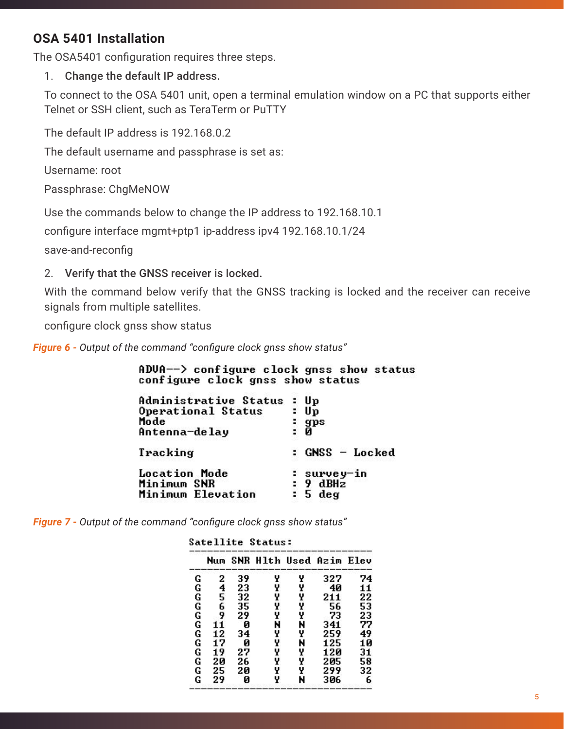# **OSA 5401 Installation**

The OSA5401 configuration requires three steps.

1. Change the default IP address.

To connect to the OSA 5401 unit, open a terminal emulation window on a PC that supports either Telnet or SSH client, such as TeraTerm or PuTTY

The default IP address is 192.168.0.2

The default username and passphrase is set as:

Username: root

Passphrase: ChgMeNOW

Use the commands below to change the IP address to 192.168.10.1

configure interface mgmt+ptp1 ip-address ipv4 192.168.10.1/24

save-and-reconfig

2. Verify that the GNSS receiver is locked.

With the command below verify that the GNSS tracking is locked and the receiver can receive signals from multiple satellites.

configure clock gnss show status

*Figure 6 - Output of the command "configure clock gnss show status"*

| ADVA--> configure clock gnss show status<br>configure clock gnss show status |                                    |
|------------------------------------------------------------------------------|------------------------------------|
| Administrative Status<br>Operational Status<br>Mode<br>Antenna-delay         | : Up<br>Up<br>gps<br>0             |
| Tracking                                                                     | : GNSS - Locked                    |
| <b>Location Mode</b><br>Minimum SNR<br><b>Minimum Elevation</b>              | : survey-in<br>: 9 dBHz<br>: 5 deg |

*Figure 7 - Output of the command "configure clock gnss show status"*

Catallita Ctatus:

|        | Num |    | SNR Hlth Used Azim |   |     | Elev |
|--------|-----|----|--------------------|---|-----|------|
|        | 2   | 39 | Y                  | Y | 327 | 74   |
| G<br>G | 4   | 23 | Y                  | Y | 40  | 11   |
|        | 5   | 32 | Y                  | Y | 211 | 22   |
|        | 6   | 35 | Y                  | Y | 56  | 53   |
|        | 9   | 29 | Y                  | Y | 73  | 23   |
| G<br>G | 11  | Ø  | N                  | N | 341 | 77   |
| Ġ      | 12  | 34 | Y                  | Y | 259 | 49   |
| Ğ<br>G | 17  | Ø  | Y                  | N | 125 | 10   |
|        | 19  | 27 | Y                  | Y | 120 | 31   |
| Ğ      | 20  | 26 | Y                  | Y | 205 | 58   |
| Ġ      | 25  | 20 | Y                  | Y | 299 | 32   |
| Ġ      | 29  | Ø  | Y                  | N | 306 | 6    |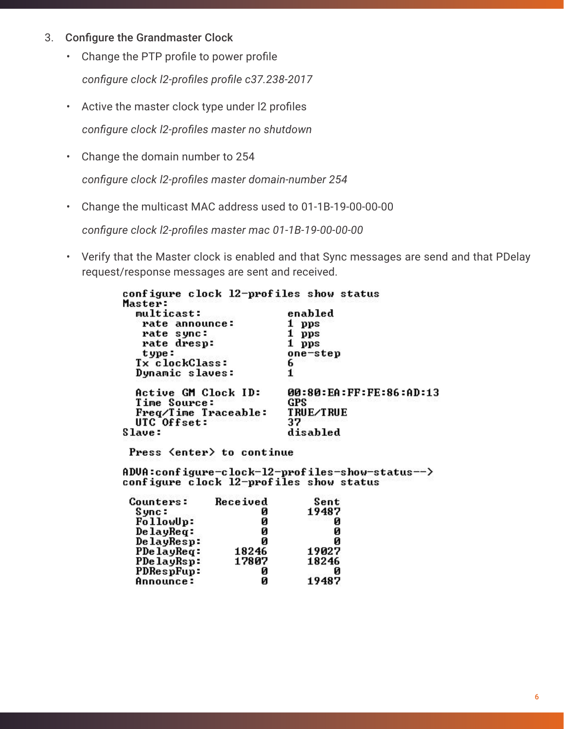- 3. Configure the Grandmaster Clock
	- Change the PTP profile to power profile  *configure clock l2-profiles profile c37.238-2017*
	- Active the master clock type under l2 profiles *configure clock l2-profiles master no shutdown*
	- Change the domain number to 254 *configure clock l2-profiles master domain-number 254*
	- Change the multicast MAC address used to 01-1B-19-00-00-00

*configure clock l2-profiles master mac 01-1B-19-00-00-00*

• Verify that the Master clock is enabled and that Sync messages are send and that PDelay request/response messages are sent and received.

| configure clock 12-profiles show status |                         |
|-----------------------------------------|-------------------------|
| Master:                                 |                         |
| multicast:                              | enabled                 |
| rate announce:                          | pps                     |
| rate sync:                              | pps                     |
| rate dresp:                             | pps                     |
| type:                                   | one-step                |
| <b>Tx clockClass:</b>                   | 6                       |
| Dynamic slaves:                         |                         |
| Active GM Clock ID:                     | 00:80:EA:FF:FE:86:AD:13 |
| Time Source:                            | GPS                     |
| Freq/Time Traceable:                    | TRUE∕TRUE               |
| UTC Offset:                             | 37                      |
| Slave:                                  | disabled                |
| Press <enter> to continue</enter>       |                         |

ADUA:configure-clock-12-profiles-show-status--><br>configure clock 12-profiles show status

| Counters:  | Received | Sent  |
|------------|----------|-------|
| Sync∶      | и        | 19487 |
| FollowUp:  | Й        | Ø     |
| DelayReq:  | Й        | Ø     |
| DelayResp: | Й        | Ø     |
| PDelayReq: | 18246    | 19027 |
| PDelayRsp: | 17807    | 18246 |
| PDRespFup: | Й        | и     |
| Announce:  | п        | 19487 |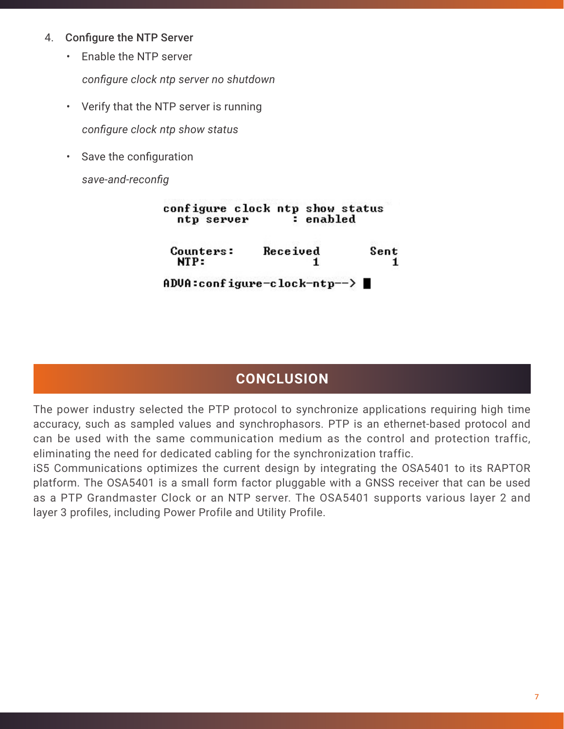#### 4. Configure the NTP Server

• Enable the NTP server

 *configure clock ntp server no shutdown*

- Verify that the NTP server is running *configure clock ntp show status*
- Save the configuration

*save-and-reconfig*

| ntp server        | configure clock ntp show status<br>: enabled |      |
|-------------------|----------------------------------------------|------|
| Counters:<br>NTP: | Received                                     | Sent |
|                   | ADUA:configure-clock-ntp-->                  |      |

# **CONCLUSION**

The power industry selected the PTP protocol to synchronize applications requiring high time accuracy, such as sampled values and synchrophasors. PTP is an ethernet-based protocol and can be used with the same communication medium as the control and protection traffic, eliminating the need for dedicated cabling for the synchronization traffic.

iS5 Communications optimizes the current design by integrating the OSA5401 to its RAPTOR platform. The OSA5401 is a small form factor pluggable with a GNSS receiver that can be used as a PTP Grandmaster Clock or an NTP server. The OSA5401 supports various layer 2 and layer 3 profiles, including Power Profile and Utility Profile.